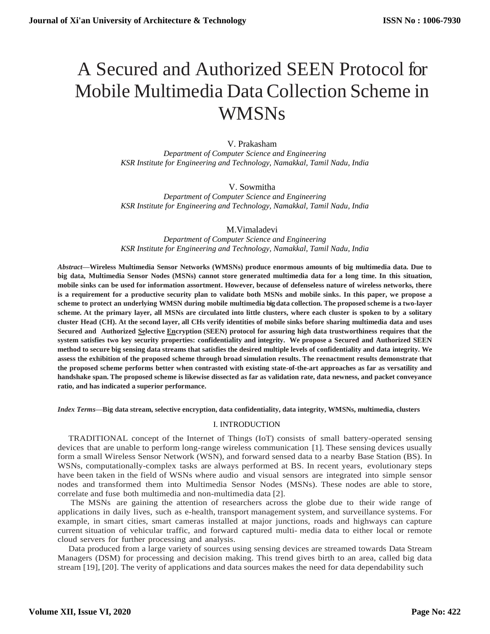# A Secured and Authorized SEEN Protocol for Mobile Multimedia Data Collection Scheme in WMSNs

# V. Prakasham

*Department of Computer Science and Engineering KSR Institute for Engineering and Technology, Namakkal, Tamil Nadu, India*

# V. Sowmitha

*Department of Computer Science and Engineering KSR Institute for Engineering and Technology, Namakkal, Tamil Nadu, India*

## M.Vimaladevi

*Department of Computer Science and Engineering KSR Institute for Engineering and Technology, Namakkal, Tamil Nadu, India*

*Abstract***—Wireless Multimedia Sensor Networks (WMSNs) produce enormous amounts of big multimedia data. Due to big data, Multimedia Sensor Nodes (MSNs) cannot store generated multimedia data for a long time. In this situation, mobile sinks can be used for information assortment. However, because of defenseless nature of wireless networks, there is a requirement for a productive security plan to validate both MSNs and mobile sinks. In this paper, we propose a scheme to protect an underlying WMSN during mobile multimedia big data collection. The proposed scheme is a two-layer scheme. At the primary layer, all MSNs are circulated into little clusters, where each cluster is spoken to by a solitary cluster Head (CH). At the second layer, all CHs verify identities of mobile sinks before sharing multimedia data and uses Secured and Authorized Selective Encryption (SEEN) protocol for assuring high data trustworthiness requires that the system satisfies two key security properties: confidentiality and integrity. We propose a Secured and Authorized SEEN** method to secure big sensing data streams that satisfies the desired multiple levels of confidentiality and data integrity. We **assess the exhibition of the proposed scheme through broad simulation results. The reenactment results demonstrate that the proposed scheme performs better when contrasted with existing state-of-the-art approaches as far as versatility and handshake span. The proposed scheme is likewise dissected as far as validation rate, data newness, and packet conveyance ratio, and has indicated a superior performance.**

*Index Terms***—Big data stream, selective encryption, data confidentiality, data integrity, WMSNs, multimedia, clusters**

# I. INTRODUCTION

TRADITIONAL concept of the Internet of Things (IoT) consists of small battery-operated sensing devices that are unable to perform long-range wireless communication [1]. These sensing devices usually form a small Wireless Sensor Network (WSN), and forward sensed data to a nearby Base Station (BS). In WSNs, computationally-complex tasks are always performed at BS. In recent years, evolutionary steps have been taken in the field of WSNs where audio and visual sensors are integrated into simple sensor nodes and transformed them into Multimedia Sensor Nodes (MSNs). These nodes are able to store, correlate and fuse both multimedia and non-multimedia data [2].

The MSNs are gaining the attention of researchers across the globe due to their wide range of applications in daily lives, such as e-health, transport management system, and surveillance systems. For example, in smart cities, smart cameras installed at major junctions, roads and highways can capture current situation of vehicular traffic, and forward captured multi- media data to either local or remote cloud servers for further processing and analysis.

Data produced from a large variety of sources using sensing devices are streamed towards Data Stream Managers (DSM) for processing and decision making. This trend gives birth to an area, called big data stream [19], [20]. The verity of applications and data sources makes the need for data dependability such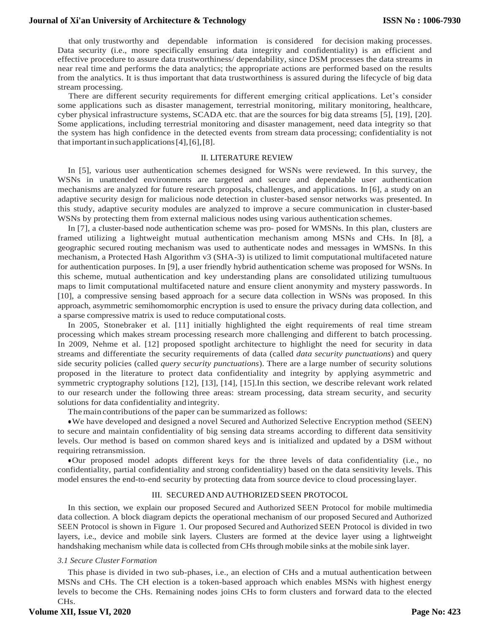that only trustworthy and dependable information is considered for decision making processes. Data security (i.e., more specifically ensuring data integrity and confidentiality) is an efficient and effective procedure to assure data trustworthiness/ dependability, since DSM processes the data streams in near real time and performs the data analytics; the appropriate actions are performed based on the results from the analytics. It is thus important that data trustworthiness is assured during the lifecycle of big data stream processing.

There are different security requirements for different emerging critical applications. Let's consider some applications such as disaster management, terrestrial monitoring, military monitoring, healthcare, cyber physical infrastructure systems, SCADA etc. that are the sources for big data streams [5], [19], [20]. Some applications, including terrestrial monitoring and disaster management, need data integrity so that the system has high confidence in the detected events from stream data processing; confidentiality is not that importantinsuchapplications[4],[6],[8].

#### II. LITERATURE REVIEW

In [5], various user authentication schemes designed for WSNs were reviewed. In this survey, the WSNs in unattended environments are targeted and secure and dependable user authentication mechanisms are analyzed for future research proposals, challenges, and applications. In [6], a study on an adaptive security design for malicious node detection in cluster-based sensor networks was presented. In this study, adaptive security modules are analyzed to improve a secure communication in cluster-based WSNs by protecting them from external malicious nodes using various authentication schemes.

In [7], a cluster-based node authentication scheme was pro- posed for WMSNs. In this plan, clusters are framed utilizing a lightweight mutual authentication mechanism among MSNs and CHs. In [8], a geographic secured routing mechanism was used to authenticate nodes and messages in WMSNs. In this mechanism, a Protected Hash Algorithm v3 (SHA-3) is utilized to limit computational multifaceted nature for authentication purposes. In [9], a user friendly hybrid authentication scheme was proposed for WSNs. In this scheme, mutual authentication and key understanding plans are consolidated utilizing tumultuous maps to limit computational multifaceted nature and ensure client anonymity and mystery passwords. In [10], a compressive sensing based approach for a secure data collection in WSNs was proposed. In this approach, asymmetric semihomomorphic encryption is used to ensure the privacy during data collection, and a sparse compressive matrix is used to reduce computational costs.

In 2005, Stonebraker et al. [11] initially highlighted the eight requirements of real time stream processing which makes stream processing research more challenging and different to batch processing. In 2009, Nehme et al. [12] proposed spotlight architecture to highlight the need for security in data streams and differentiate the security requirements of data (called *data security punctuations*) and query side security policies (called *query security punctuations*). There are a large number of security solutions proposed in the literature to protect data confidentiality and integrity by applying asymmetric and symmetric cryptography solutions [12], [13], [14], [15].In this section, we describe relevant work related to our research under the following three areas: stream processing, data stream security, and security solutions for data confidentiality and integrity.

The main contributions of the paper can be summarized as follows:

●We have developed and designed a novel Secured and Authorized Selective Encryption method (SEEN) to secure and maintain confidentiality of big sensing data streams according to different data sensitivity levels. Our method is based on common shared keys and is initialized and updated by a DSM without requiring retransmission.

●Our proposed model adopts different keys for the three levels of data confidentiality (i.e., no confidentiality, partial confidentiality and strong confidentiality) based on the data sensitivity levels. This model ensures the end-to-end security by protecting data from source device to cloud processinglayer.

#### III. SECURED AND AUTHORIZED SEEN PROTOCOL

In this section, we explain our proposed Secured and Authorized SEEN Protocol for mobile multimedia data collection. A block diagram depicts the operational mechanism of our proposed Secured and Authorized SEEN Protocol is shown in Figure 1. Our proposed Secured and Authorized SEEN Protocol is divided in two layers, i.e., device and mobile sink layers. Clusters are formed at the device layer using a lightweight handshaking mechanism while data is collected from CHs through mobile sinks at the mobile sink layer.

#### *3.1 Secure Cluster Formation*

This phase is divided in two sub-phases, i.e., an election of CHs and a mutual authentication between MSNs and CHs. The CH election is a token-based approach which enables MSNs with highest energy levels to become the CHs. Remaining nodes joins CHs to form clusters and forward data to the elected CHs.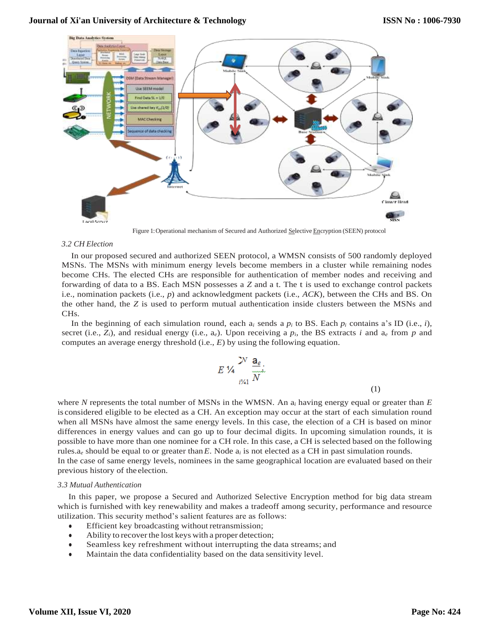

Figure 1:Operational mechanism of Secured and Authorized Selective Encryption (SEEN) protocol

#### *3.2 CH Election*

In our proposed secured and authorized SEEN protocol, a WMSN consists of 500 randomly deployed MSNs. The MSNs with minimum energy levels become members in a cluster while remaining nodes become CHs. The elected CHs are responsible for authentication of member nodes and receiving and forwarding of data to a BS. Each MSN possesses a *Z* and a t. The t is used to exchange control packets i.e., nomination packets (i.e., *p*) and acknowledgment packets (i.e., *ACK*), between the CHs and BS. On the other hand, the *Z* is used to perform mutual authentication inside clusters between the MSNs and CHs.

In the beginning of each simulation round, each  $a_i$  sends a  $p_i$  to BS. Each  $p_i$  contains a's ID (i.e., *i*), secret (i.e.,  $Z_i$ ), and residual energy (i.e.,  $a_e$ ). Upon receiving a  $p_i$ , the BS extracts *i* and  $a_e$  from  $p$  and computes an average energy threshold (i.e., *E*) by using the following equation.

$$
E\mathcal{V}_4 \frac{\mathbf{a}_e}{\sum_{i\neq 1}^{N} N}.
$$

where *N* represents the total number of MSNs in the WMSN. An a*<sup>i</sup>* having energy equal or greater than *E*  is considered eligible to be elected as a CH. An exception may occur at the start of each simulation round when all MSNs have almost the same energy levels. In this case, the election of a CH is based on minor differences in energy values and can go up to four decimal digits. In upcoming simulation rounds, it is possible to have more than one nominee for a CH role. In this case, a CH is selected based on the following rules.a*<sup>e</sup>* should be equal to or greater than*E*. Node a*<sup>i</sup>* is not elected as a CH in past simulation rounds. In the case of same energy levels, nominees in the same geographical location are evaluated based on their previous history of the election.

### *3.3 Mutual Authentication*

In this paper, we propose a Secured and Authorized Selective Encryption method for big data stream which is furnished with key renewability and makes a tradeoff among security, performance and resource utilization. This security method's salient features are as follows:

- Efficient key broadcasting without retransmission;
- Ability to recover the lost keys with a proper detection;
- Seamless key refreshment without interrupting the data streams; and
- Maintain the data confidentiality based on the data sensitivity level.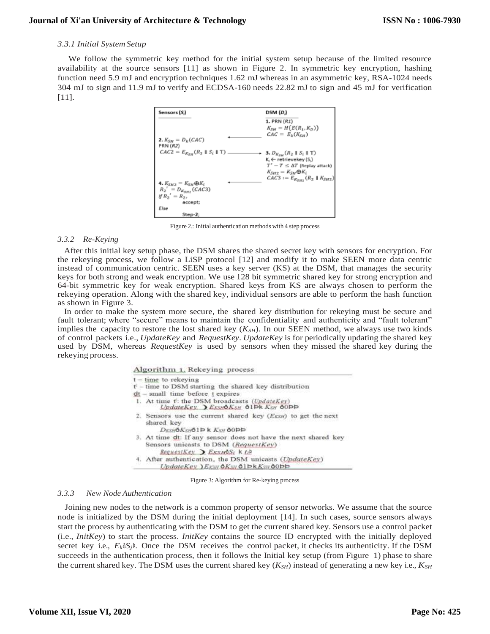## *3.3.1 Initial SystemSetup*

We follow the symmetric key method for the initial system setup because of the limited resource availability at the source sensors [11] as shown in Figure 2. In symmetric key encryption, hashing function need 5.9 mJ and encryption techniques 1.62 mJ whereas in an asymmetric key, RSA-1024 needs 304 mJ to sign and 11.9 mJ to verify and ECDSA-160 needs 22.82 mJ to sign and 45 mJ for verification [11].



Figure 2.: Initial authentication methods with 4 step process

## *3.3.2 Re-Keying*

After this initial key setup phase, the DSM shares the shared secret key with sensors for encryption. For the rekeying process, we follow a LiSP protocol [12] and modify it to make SEEN more data centric instead of communication centric. SEEN uses a key server (KS) at the DSM, that manages the security keys for both strong and weak encryption. We use 128 bit symmetric shared key for strong encryption and 64-bit symmetric key for weak encryption. Shared keys from KS are always chosen to perform the rekeying operation. Along with the shared key, individual sensors are able to perform the hash function as shown in Figure 3.

In order to make the system more secure, the shared key distribution for rekeying must be secure and fault tolerant; where "secure" means to maintain the confidentiality and authenticity and "fault tolerant" implies the capacity to restore the lost shared key  $(K_{SH})$ . In our SEEN method, we always use two kinds of control packets i.e., *UpdateKey* and *RequestKey*. *UpdateKey* is for periodically updating the shared key used by DSM, whereas *RequestKey* is used by sensors when they missed the shared key during the rekeying process.

|  |  | Algorithm 1. Rekeying process |  |
|--|--|-------------------------------|--|
|--|--|-------------------------------|--|

| $t - time$ to rekeying                                                                                                                                 |
|--------------------------------------------------------------------------------------------------------------------------------------------------------|
| $t^{\prime}$ – time to DSM starting the shared key distribution                                                                                        |
| $dt$ – small time before $t$ expires                                                                                                                   |
| 1. At time t: the DSM broadcasts (UpdateKey)<br>UpdateKey, ExsubKsH 61Pk KsH 60PP                                                                      |
| 2. Sensors use the current shared key $(E_{KSH})$ to get the next<br>shared key<br>DESHOKSHOID K KSH 00DD                                              |
| 3. At time dt: If any sensor does not have the next shared key<br>Sensors unicasts to DSM (RequestKey)<br>RequestKey $\sum$ ExsHOSI $k$ $t$ $\dot{t}$  |
| 4. After authentication, the DSM unicasts (UpdateKey)<br>$UpdateKey$ ) $E_{XSH}$ $\Delta K_{SH}$ $\Delta 1$ $\Delta K_{SH}$ $\Delta 0$ $\Delta \Delta$ |

Figure 3: Algorithm for Re-keying process

# *3.3.3 New Node Authentication*

Joining new nodes to the network is a common property of sensor networks. We assume that the source node is initialized by the DSM during the initial deployment [14]. In such cases, source sensors always start the process by authenticating with the DSM to get the current shared key. Sensors use a control packet (i.e., *InitKey*) to start the process. *InitKey* contains the source ID encrypted with the initially deployed secret key i.e.,  $E_k \delta S_j$ <sup>b</sup>. Once the DSM receives the control packet, it checks its authenticity. If the DSM succeeds in the authentication process, then it follows the Initial key setup (from Figure 1) phase to share the current shared key. The DSM uses the current shared key (*KSH*) instead of generating a new key i.e., *KSH*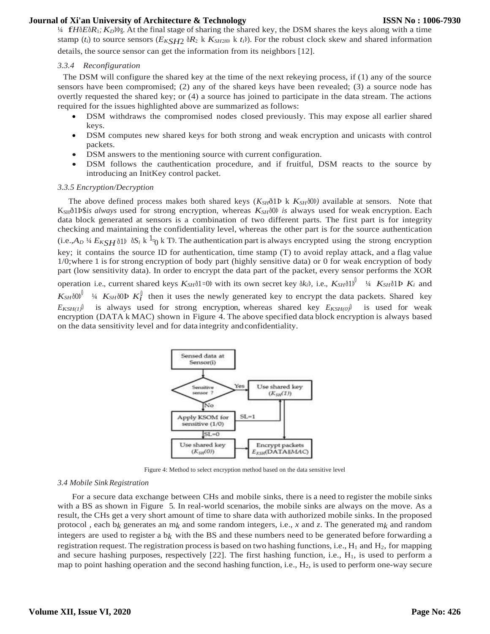<sup>¼</sup> f*<sup>H</sup>*ð*E*ð*R*1*; <sup>K</sup>D*ÞÞg. At the final stage of sharing the shared key, the DSM shares the keys along with a time stamp (*t<sub>i</sub>*) to source sensors ( $E_{KSH2}$   $\delta R_2$  k  $K_{SH2\delta 0}$ ) k  $t_i$ b). For the robust clock skew and shared information

details, the source sensor can get the information from its neighbors [12].

## *3.3.4 Reconfiguration*

The DSM will configure the shared key at the time of the next rekeying process, if (1) any of the source sensors have been compromised; (2) any of the shared keys have been revealed; (3) a source node has overtly requested the shared key; or (4) a source has joined to participate in the data stream. The actions required for the issues highlighted above are summarized as follows:

- DSM withdraws the compromised nodes closed previously. This may expose all earlier shared keys.
- DSM computes new shared keys for both strong and weak encryption and unicasts with control packets.
- DSM answers to the mentioning source with current configuration.
- DSM follows the cauthentication procedure, and if fruitful, DSM reacts to the source by introducing an InitKey control packet.

#### *3.3.5 Encryption/Decryption*

The above defined process makes both shared keys  $(K_{SH}$ ð1Þ k  $K_{SH}$ ð0Þ) available at sensors. Note that KSHð1Þ\$*is always* used for strong encryption, whereas *KSH*ð0Þ *is* always used for weak encryption. Each data block generated at sensors is a combination of two different parts. The first part is for integrity checking and maintaining the confidentiality level, whereas the other part is for the source authentication  $(i.e., A<sub>D</sub>$  1/4  $E<sub>KSH</sub>$   $\delta$ 1 $\delta$   $\delta$  k  $\delta$ <sup>1</sup> $\delta$ <sub>0</sub> k T<sup>p</sup>. The authentication part is always encrypted using the strong encryption key; it contains the source ID for authentication, time stamp (T) to avoid replay attack, and a flag value 1/0;where 1 is for strong encryption of body part (highly sensitive data) or 0 for weak encryption of body part (low sensitivity data). In order to encrypt the data part of the packet, every sensor performs the XOR operation i.e., current shared keys  $K_{SH}$ ð1=0Þ with its own secret key ð $k_i$ Þ, i.e.,  $K_{SH}$ ð1Þ $\mu$ <sup>0</sup> <sup>1</sup>/4  $K_{SH}$ ð1Þ $K_i$  and  $K_{SH}$ ð $0$ þ<sup> $\int$  ¼  $K_{SH}$ ð $0$ Þ $K_l^{\int}$  then it uses the newly generated key to encrypt the data packets. Shared key</sup>  $E_{KSH(1)}$ <sup>0</sup> is always used for strong encryption, whereas shared key  $E_{KSH(0)}$ <sup>0</sup> is used for weak encryption (DATA k MAC) shown in Figure 4. The above specified data block encryption is always based on the data sensitivity level and for data integrity andconfidentiality.



Figure 4: Method to select encryption method based on the data sensitive level

#### *3.4 Mobile Sink Registration*

For a secure data exchange between CHs and mobile sinks, there is a need to register the mobile sinks with a BS as shown in Figure 5. In real-world scenarios, the mobile sinks are always on the move. As a result, the CHs get a very short amount of time to share data with authorized mobile sinks. In the proposed protocol , each b*k* generates an m*k* and some random integers, i.e., *x* and *z*. The generated m*k* and random integers are used to register a  $b_k$  with the BS and these numbers need to be generated before forwarding a registration request. The registration process is based on two hashing functions, i.e.,  $H_1$  and  $H_2$ , for mapping and secure hashing purposes, respectively  $[22]$ . The first hashing function, i.e.,  $H_1$ , is used to perform a map to point hashing operation and the second hashing function, i.e.,  $H_2$ , is used to perform one-way secure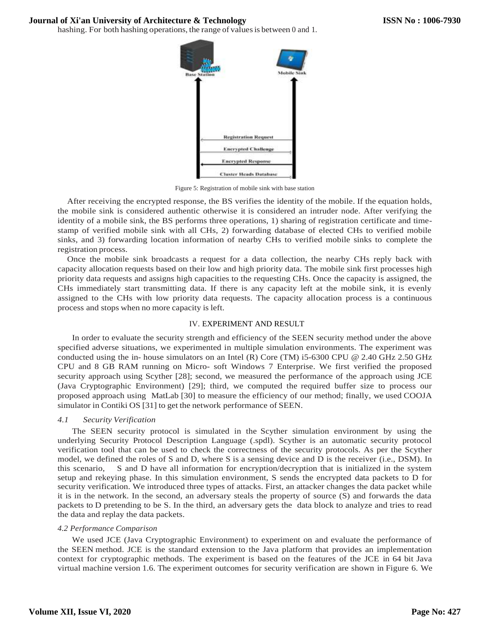hashing. For both hashing operations, the range of values is between 0 and 1.



Figure 5: Registration of mobile sink with base station

After receiving the encrypted response, the BS verifies the identity of the mobile. If the equation holds, the mobile sink is considered authentic otherwise it is considered an intruder node. After verifying the identity of a mobile sink, the BS performs three operations, 1) sharing of registration certificate and timestamp of verified mobile sink with all CHs, 2) forwarding database of elected CHs to verified mobile sinks, and 3) forwarding location information of nearby CHs to verified mobile sinks to complete the registration process.

Once the mobile sink broadcasts a request for a data collection, the nearby CHs reply back with capacity allocation requests based on their low and high priority data. The mobile sink first processes high priority data requests and assigns high capacities to the requesting CHs. Once the capacity is assigned, the CHs immediately start transmitting data. If there is any capacity left at the mobile sink, it is evenly assigned to the CHs with low priority data requests. The capacity allocation process is a continuous process and stops when no more capacity is left.

# IV. EXPERIMENT AND RESULT

In order to evaluate the security strength and efficiency of the SEEN security method under the above specified adverse situations, we experimented in multiple simulation environments. The experiment was conducted using the in- house simulators on an Intel (R) Core (TM) i5-6300 CPU @ 2.40 GHz 2.50 GHz CPU and 8 GB RAM running on Micro- soft Windows 7 Enterprise. We first verified the proposed security approach using Scyther [28]; second, we measured the performance of the approach using JCE (Java Cryptographic Environment) [29]; third, we computed the required buffer size to process our proposed approach using MatLab [30] to measure the efficiency of our method; finally, we used COOJA simulator in Contiki OS [31] to get the network performance of SEEN.

# *4.1 Security Verification*

The SEEN security protocol is simulated in the Scyther simulation environment by using the underlying Security Protocol Description Language (.spdl). Scyther is an automatic security protocol verification tool that can be used to check the correctness of the security protocols. As per the Scyther model, we defined the roles of S and D, where S is a sensing device and D is the receiver (i.e., DSM). In this scenario, S and D have all information for encryption/decryption that is initialized in the system setup and rekeying phase. In this simulation environment, S sends the encrypted data packets to D for security verification. We introduced three types of attacks. First, an attacker changes the data packet while it is in the network. In the second, an adversary steals the property of source (S) and forwards the data packets to D pretending to be S. In the third, an adversary gets the data block to analyze and tries to read the data and replay the data packets.

## *4.2 Performance Comparison*

We used JCE (Java Cryptographic Environment) to experiment on and evaluate the performance of the SEEN method. JCE is the standard extension to the Java platform that provides an implementation context for cryptographic methods. The experiment is based on the features of the JCE in 64 bit Java virtual machine version 1.6. The experiment outcomes for security verification are shown in Figure 6. We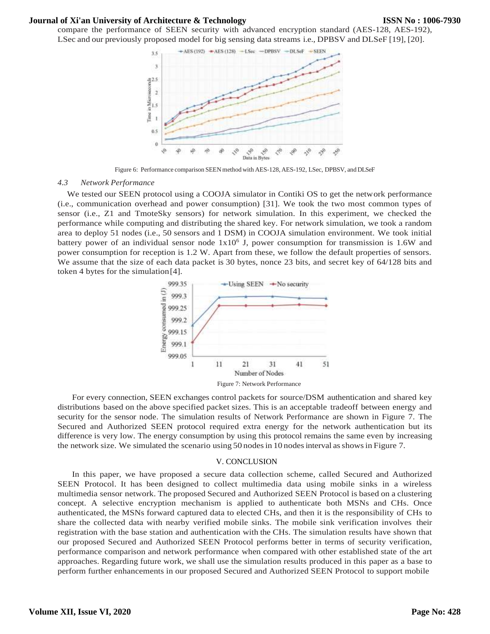compare the performance of SEEN security with advanced encryption standard (AES-128, AES-192), LSec and our previously proposed model for big sensing data streams i.e., DPBSV and DLSeF [19], [20].



Figure 6: Performance comparison SEEN method with AES-128, AES-192, LSec, DPBSV, and DLSeF

#### *4.3 Network Performance*

We tested our SEEN protocol using a COOJA simulator in Contiki OS to get the network performance (i.e., communication overhead and power consumption) [31]. We took the two most common types of sensor (i.e., Z1 and TmoteSky sensors) for network simulation. In this experiment, we checked the performance while computing and distributing the shared key. For network simulation, we took a random area to deploy 51 nodes (i.e., 50 sensors and 1 DSM) in COOJA simulation environment. We took initial battery power of an individual sensor node  $1x10<sup>6</sup>$  J, power consumption for transmission is 1.6W and power consumption for reception is 1.2 W. Apart from these, we follow the default properties of sensors. We assume that the size of each data packet is 30 bytes, nonce 23 bits, and secret key of 64/128 bits and token 4 bytes for the simulation[4].



For every connection, SEEN exchanges control packets for source/DSM authentication and shared key distributions based on the above specified packet sizes. This is an acceptable tradeoff between energy and security for the sensor node. The simulation results of Network Performance are shown in Figure 7. The Secured and Authorized SEEN protocol required extra energy for the network authentication but its difference is very low. The energy consumption by using this protocol remains the same even by increasing the network size. We simulated the scenario using 50 nodes in 10 nodes interval as shows in Figure 7.

#### V. CONCLUSION

In this paper, we have proposed a secure data collection scheme, called Secured and Authorized SEEN Protocol. It has been designed to collect multimedia data using mobile sinks in a wireless multimedia sensor network. The proposed Secured and Authorized SEEN Protocol is based on a clustering concept. A selective encryption mechanism is applied to authenticate both MSNs and CHs. Once authenticated, the MSNs forward captured data to elected CHs, and then it is the responsibility of CHs to share the collected data with nearby verified mobile sinks. The mobile sink verification involves their registration with the base station and authentication with the CHs. The simulation results have shown that our proposed Secured and Authorized SEEN Protocol performs better in terms of security verification, performance comparison and network performance when compared with other established state of the art approaches. Regarding future work, we shall use the simulation results produced in this paper as a base to perform further enhancements in our proposed Secured and Authorized SEEN Protocol to support mobile